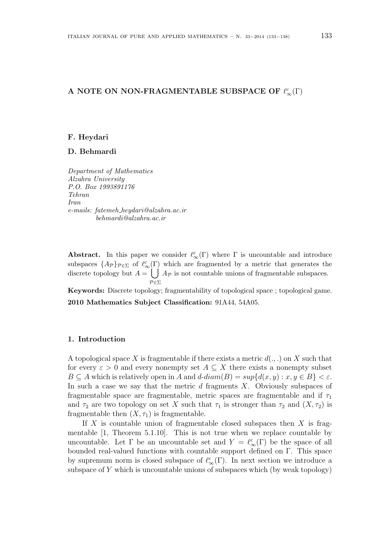# A NOTE ON NON-FRAGMENTABLE SUBSPACE OF  $\ell_{\infty}^{c}(\Gamma)$

#### F. Heydari

## D. Behmardi

Department of Mathematics Alzahra University P.O. Box 1993891176 Tehran Iran e-mails: fatemeh heydari@alzahra.ac.ir behmardi@alzahra.ac.ir

Abstract. In this paper we consider  $\ell_{\infty}^{c}(\Gamma)$  where  $\Gamma$  is uncountable and introduce subspaces  $\{A_{\mathcal{P}}\}_{\mathcal{P}\in\Sigma}$  of  $\ell_{\infty}^c(\Gamma)$  which are fragmented by a metric that generates the discrete topology but  $A =$  $\left(1\right)$ P∈Σ  $A_{\mathcal{P}}$  is not countable unions of fragmentable subspaces.

Keywords: Discrete topology; fragmentability of topological space ; topological game. 2010 Mathematics Subject Classification: 91A44, 54A05.

## 1. Introduction

A topological space X is fragmentable if there exists a metric  $d(.,.)$  on X such that for every  $\varepsilon > 0$  and every nonempty set  $A \subseteq X$  there exists a nonempty subset  $B \subseteq A$  which is relatively open in A and  $d$ -diam $(B) = sup{d(x, y) : x, y \in B} < \varepsilon$ . In such a case we say that the metric  $d$  fragments  $X$ . Obviously subspaces of fragmentable space are fragmentable, metric spaces are fragmentable and if  $\tau_1$ and  $\tau_2$  are two topology on set X such that  $\tau_1$  is stronger than  $\tau_2$  and  $(X, \tau_2)$  is fragmentable then  $(X, \tau_1)$  is fragmentable.

If  $X$  is countable union of fragmentable closed subspaces then  $X$  is fragmentable [1, Theorem 5.1.10]. This is not true when we replace countable by uncountable. Let  $\Gamma$  be an uncountable set and  $Y = \ell_{\infty}^{c}(\Gamma)$  be the space of all bounded real-valued functions with countable support defined on Γ. This space by supremum norm is closed subspace of  $\ell_{\infty}^{c}(\Gamma)$ . In next section we introduce a subspace of  $Y$  which is uncountable unions of subspaces which (by weak topology)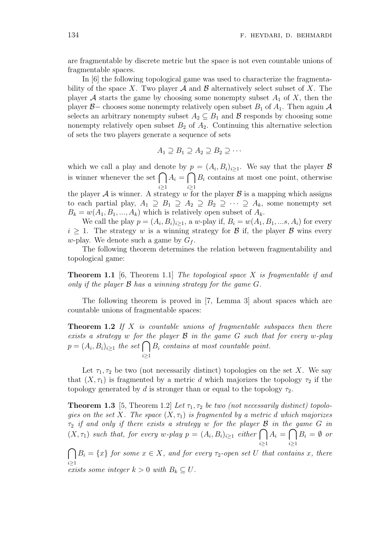are fragmentable by discrete metric but the space is not even countable unions of fragmentable spaces.

In [6] the following topological game was used to characterize the fragmentability of the space X. Two player  $A$  and  $B$  alternatively select subset of X. The player A starts the game by choosing some nonempty subset  $A_1$  of X, then the player B– chooses some nonempty relatively open subset  $B_1$  of  $A_1$ . Then again A selects an arbitrary nonempty subset  $A_2 \subseteq B_1$  and  $\mathcal B$  responds by choosing some nonempty relatively open subset  $B_2$  of  $A_2$ . Continuing this alternative selection of sets the two players generate a sequence of sets

$$
A_1 \supseteq B_1 \supseteq A_2 \supseteq B_2 \supseteq \cdots
$$

which we call a play and denote by  $p = (A_i, B_i)_{i \geq 1}$ . We say that the player B which we can a play and denote by  $p = (A_i, D_i)_{i \geq 1}$ . We say that the player  $D$  is winner whenever the set  $\bigcap A_i = \bigcap B_i$  contains at most one point, otherwise  $i \geq 1$  $i \geq 1$ 

the player  $A$  is winner. A strategy  $w$  for the player  $B$  is a mapping which assigns to each partial play,  $A_1 \supseteq B_1 \supseteq A_2 \supseteq B_2 \supseteq \cdots \supseteq A_k$ , some nonempty set  $B_k = w(A_1, B_1, ..., A_k)$  which is relatively open subset of  $A_k$ .

We call the play  $p = (A_i, B_i)_{i \geq 1}$ , a w-play if,  $B_i = w(A_1, B_1, \ldots, A_i)$  for every  $i \geq 1$ . The strategy w is a winning strategy for B if, the player B wins every w-play. We denote such a game by  $G_f$ .

The following theorem determines the relation between fragmentability and topological game:

**Theorem 1.1** [6, Theorem 1.1] The topological space X is fragmentable if and only if the player  $\mathcal B$  has a winning strategy for the game  $G$ .

The following theorem is proved in [7, Lemma 3] about spaces which are countable unions of fragmentable spaces:

**Theorem 1.2** If X is countable unions of fragmentable subspaces then there exists a strategy w for the player  $\mathcal B$  in the game  $G$  such that for every w-play exists a strategy w for the set  $p = (A_i, B_i)_{i \geq 1}$  the set  $\bigcap$  $i \geq 1$  $B_i$  contains at most countable point.

Let  $\tau_1, \tau_2$  be two (not necessarily distinct) topologies on the set X. We say that  $(X, \tau_1)$  is fragmented by a metric d which majorizes the topology  $\tau_2$  if the topology generated by d is stronger than or equal to the topology  $\tau_2$ .

**Theorem 1.3** [5, Theorem 1.2] Let  $\tau_1, \tau_2$  be two (not necessarily distinct) topologies on the set X. The space  $(X, \tau_1)$  is fragmented by a metric d which majorizes  $\tau_2$  if and only if there exists a strategy w for the player  ${\mathcal B}$  in the game  $G$  in  $(\tau_2$  if and only if there exists a strategy w for the player **B** in the game G in  $(X, \tau_1)$  such that, for every w-play  $p = (A_i, B_i)_{i \geq 1}$  either  $\bigcap A_i = \bigcap B_i = \emptyset$  or  $i\geq 1$   $i\geq 1$ 

 $i \geq 1$  $B_i = \{x\}$  for some  $x \in X$ , and for every  $\tau_2$ -open set U that contains x, there exists some integer  $k > 0$  with  $B_k \subseteq U$ .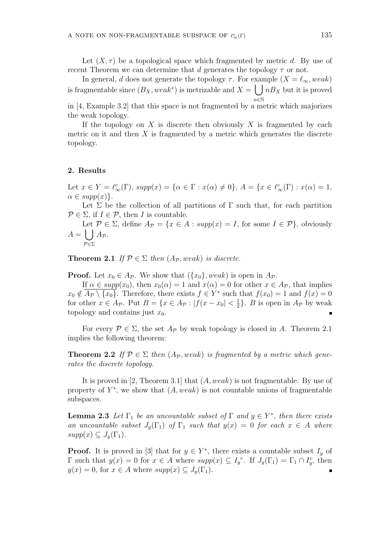Let  $(X, \tau)$  be a topological space which fragmented by metric d. By use of recent Theorem we can determine that d generates the topology  $\tau$  or not.

In general, d does not generate the topology  $\tau$ . For example  $(X = \ell_{\infty}, weak)$ is fragmentable since  $(B_X, weak^*)$  is metrizable and  $X = \int nB_X$  but it is proved  $n \in \mathbb{N}$ 

in [4, Example 3.2] that this space is not fragmented by a metric which majorizes the weak topology.

If the topology on X is discrete then obviously X is fragmented by each metric on it and then  $X$  is fragmented by a metric which generates the discrete topology.

#### 2. Results

P∈Σ

Let  $x \in Y = \ell_{\infty}^{c}(\Gamma)$ ,  $supp(x) = {\alpha \in \Gamma : x(\alpha) \neq 0}, A = {x \in \ell_{\infty}^{c}(\Gamma) : x(\alpha) = 1}$ ,  $\alpha \in supp(x)\}.$ 

Let  $\Sigma$  be the collection of all partitions of  $\Gamma$  such that, for each partition  $P \in \Sigma$ , if  $I \in \mathcal{P}$ , then I is countable.

Let  $P \in \Sigma$ , define  $A_{\mathcal{P}} = \{x \in A : supp(x) = I, \text{ for some } I \in \mathcal{P}\}\$ , obviously  $A =$  $A_{\mathcal{P}}$ .

**Theorem 2.1** If  $\mathcal{P} \in \Sigma$  then  $(A_{\mathcal{P}}, weak)$  is discrete.

**Proof.** Let  $x_0 \in A_{\mathcal{P}}$ . We show that  $(\{x_0\}, weak)$  is open in  $A_{\mathcal{P}}$ .

If  $\alpha \in supp(x_0)$ , then  $x_0(\alpha) = 1$  and  $x(\alpha) = 0$  for other  $x \in A_{\mathcal{P}}$ , that implies  $x_0 \notin \overline{A_P \setminus \{x_0\}}$ . Therefore, there exists  $f \in Y^*$  such that  $f(x_0) = 1$  and  $f(x) = 0$ for other  $x \in A_{\mathcal{P}}$ . Put  $B = \{x \in A_{\mathcal{P}} : |f(x - x_0)| < \frac{1}{2}\}$  $\frac{1}{2}$ . *B* is open in  $A_{\mathcal{P}}$  by weak topology and contains just  $x_0$ .

For every  $\mathcal{P} \in \Sigma$ , the set  $A_{\mathcal{P}}$  by weak topology is closed in A. Theorem 2.1 implies the following theorem:

**Theorem 2.2** If  $\mathcal{P} \in \Sigma$  then  $(A_{\mathcal{P}},$  weak) is fragmented by a metric which generates the discrete topology.

It is proved in [2, Theorem 3.1] that  $(A, weak)$  is not fragmentable. By use of property of  $Y^*$ , we show that  $(A, weak)$  is not countable unions of fragmentable subspaces.

**Lemma 2.3** Let  $\Gamma_1$  be an uncountable subset of  $\Gamma$  and  $y \in Y^*$ , then there exists an uncountable subset  $J_y(\Gamma_1)$  of  $\Gamma_1$  such that  $y(x) = 0$  for each  $x \in A$  where  $supp(x) \subseteq J_{\nu}(\Gamma_1)$ .

**Proof.** It is proved in [3] that for  $y \in Y^*$ , there exists a countable subset  $I_y$  of  $\Gamma$  such that  $y(x) = 0$  for  $x \in A$  where  $supp(x) \subseteq I_y^c$ . If  $J_y(\Gamma_1) = \Gamma_1 \cap I_y^c$ , then  $y(x) = 0$ , for  $x \in A$  where  $supp(x) \subseteq J_y(\Gamma_1)$ .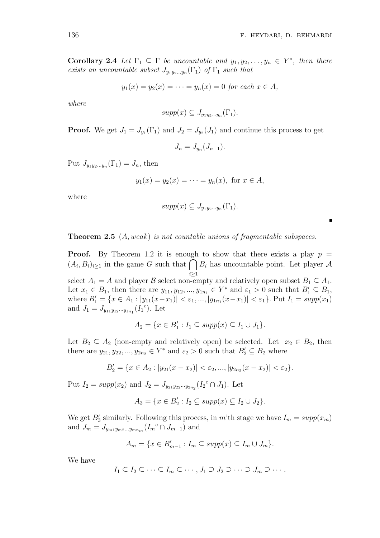$\blacksquare$ 

Corollary 2.4 Let  $\Gamma_1 \subseteq \Gamma$  be uncountable and  $y_1, y_2, \ldots, y_n \in Y^*$ , then there exists an uncountable subset  $J_{y_1y_2...y_n}(\Gamma_1)$  of  $\Gamma_1$  such that

$$
y_1(x) = y_2(x) = \cdots = y_n(x) = 0 \text{ for each } x \in A,
$$

where

$$
supp(x) \subseteq J_{y_1y_2...y_n}(\Gamma_1).
$$

**Proof.** We get  $J_1 = J_{y_1}(\Gamma_1)$  and  $J_2 = J_{y_2}(J_1)$  and continue this process to get

$$
J_n = J_{y_n}(J_{n-1}).
$$

Put  $J_{y_1y_2...y_n}(\Gamma_1)=J_n$ , then

$$
y_1(x) = y_2(x) = \cdots = y_n(x)
$$
, for  $x \in A$ ,

where

$$
supp(x) \subseteq J_{y_1y_2\cdots y_n}(\Gamma_1).
$$

Theorem 2.5 (A, weak) is not countable unions of fragmentable subspaces.

**Proof.** By Theorem 1.2 it is enough to show that there exists a play  $p =$ **Proof.** By Theorem 1.2 it is enough to show that there exists a play  $p = (A_i, B_i)_{i \geq 1}$  in the game G such that  $\bigcap B_i$  has uncountable point. Let player A  $i \geq 1$ select  $A_1 = A$  and player  $\beta$  select non-empty and relatively open subset  $B_1 \subseteq A_1$ . Let  $x_1 \in B_1$ , then there are  $y_{11}, y_{12}, ..., y_{1n_1} \in Y^*$  and  $\varepsilon_1 > 0$  such that  $B'_1 \subseteq B_1$ , where  $B'_1 = \{x \in A_1 : |y_{11}(x-x_1)| < \varepsilon_1, ..., |y_{1n_1}(x-x_1)| < \varepsilon_1\}$ . Put  $I_1 = supp(x_1)$ and  $J_1 = J_{y_{11}y_{12}\cdots y_{1n_1}}(I_1^c)$ . Let

$$
A_2 = \{x \in B'_1 : I_1 \subseteq supp(x) \subseteq I_1 \cup J_1\}.
$$

Let  $B_2 \subseteq A_2$  (non-empty and relatively open) be selected. Let  $x_2 \in B_2$ , then there are  $y_{21}, y_{22}, ..., y_{2n_2} \in Y^*$  and  $\varepsilon_2 > 0$  such that  $B'_2 \subseteq B_2$  where

$$
B_2' = \{x \in A_2 : |y_{21}(x - x_2)| < \varepsilon_2, ..., |y_{2n_2}(x - x_2)| < \varepsilon_2\}.
$$

Put  $I_2 = supp(x_2)$  and  $J_2 = J_{y_{21}y_{22}\cdots y_{2n_2}}(I_2^c \cap J_1)$ . Let

$$
A_3 = \{x \in B_2' : I_2 \subseteq supp(x) \subseteq I_2 \cup J_2\}.
$$

We get  $B'_3$  similarly. Following this process, in m'th stage we have  $I_m = supp(x_m)$ and  $J_m = J_{y_{m1}y_{m2...y_{mn_m}}} (I_m^c \cap J_{m-1})$  and

$$
A_m = \{ x \in B'_{m-1} : I_m \subseteq supp(x) \subseteq I_m \cup J_m \}.
$$

We have

$$
I_1 \subseteq I_2 \subseteq \cdots \subseteq I_m \subseteq \cdots, J_1 \supseteq J_2 \supseteq \cdots \supseteq J_m \supseteq \cdots.
$$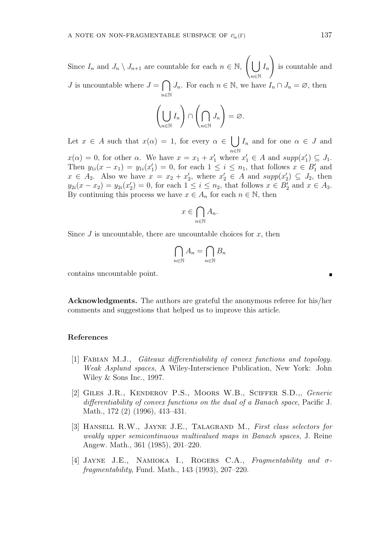Since  $I_n$  and  $J_n \setminus J_{n+1}$  are countable for each  $n \in \mathbb{N}$ ,  $\overline{a}$ . n∈N  $I_n$ !<br>} is countable and  $J$  is uncountable where  $J =$  $\overline{\phantom{a}}$ n∈N  $J_n$ . For each  $n \in \mathbb{N}$ , we have  $I_n \cap J_n = \emptyset$ , then

$$
\left(\bigcup_{n\in\mathbb{N}}I_n\right)\cap\left(\bigcap_{n\in\mathbb{N}}J_n\right)=\varnothing.
$$

Let  $x \in A$  such that  $x(\alpha) = 1$ , for every  $\alpha \in A$ n∈N  $I_n$  and for one  $\alpha \in J$  and  $x(\alpha) = 0$ , for other  $\alpha$ . We have  $x = x_1 + x'_1$  where  $x'_1 \in A$  and  $supp(x'_1) \subseteq J_1$ . Then  $y_{1i}(x-x_1) = y_{1i}(x_1') = 0$ , for each  $1 \le i \le n_1$ , that follows  $x \in B_1'$  and  $x \in A_2$ . Also we have  $x = x_2 + x'_2$ , where  $x'_2 \in A$  and  $supp(x'_2) \subseteq J_2$ , then  $y_{2i}(x - x_2) = y_{2i}(x_2') = 0$ , for each  $1 \le i \le n_2$ , that follows  $x \in B_2'$  and  $x \in A_3$ . By continuing this process we have  $x \in A_n$  for each  $n \in \mathbb{N}$ , then

$$
x \in \bigcap_{n \in \mathbb{N}} A_n.
$$

Since  $J$  is uncountable, there are uncountable choices for  $x$ , then

$$
\bigcap_{n\in\mathbb{N}}A_n=\bigcap_{n\in\mathbb{N}}B_n
$$

contains uncountable point.

Acknowledgments. The authors are grateful the anonymous referee for his/her comments and suggestions that helped us to improve this article.

## References

- [1] FABIAN M.J., *Gâteaux differentiability of convex functions and topology.* Weak Asplund spaces, A Wiley-Interscience Publication, New York: John Wiley & Sons Inc., 1997.
- [2] Giles J.R., Kenderov P.S., Moors W.B., Sciffer S.D.,, Generic differentiability of convex functions on the dual of a Banach space, Pacific J. Math., 172 (2) (1996), 413–431.
- [3] HANSELL R.W., JAYNE J.E., TALAGRAND M., First class selectors for weakly upper semicontinuous multivalued maps in Banach spaces, J. Reine Angew. Math., 361 (1985), 201–220.
- [4] Jayne J.E., Namioka I., Rogers C.A., Fragmentability and σfragmentability, Fund. Math., 143 (1993), 207–220.